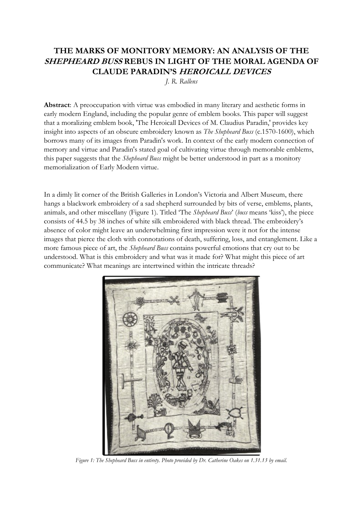# **THE MARKS OF MONITORY MEMORY: AN ANALYSIS OF THE SHEPHEARD BUSS REBUS IN LIGHT OF THE MORAL AGENDA OF CLAUDE PARADIN'S HEROICALL DEVICES**

*J. R. Rallens*

**Abstract**: A preoccupation with virtue was embodied in many literary and aesthetic forms in early modern England, including the popular genre of emblem books. This paper will suggest that a moralizing emblem book, 'The Heroicall Devices of M. Claudius Paradin,' provides key insight into aspects of an obscure embroidery known as *The Shepheard Buss* (c.1570-1600), which borrows many of its images from Paradin's work. In context of the early modern connection of memory and virtue and Paradin's stated goal of cultivating virtue through memorable emblems, this paper suggests that the *Shepheard Buss* might be better understood in part as a monitory memorialization of Early Modern virtue.

In a dimly lit corner of the British Galleries in London's Victoria and Albert Museum, there hangs a blackwork embroidery of a sad shepherd surrounded by bits of verse, emblems, plants, animals, and other miscellany (Figure 1). Titled 'The *Shepheard Buss*' (*buss* means 'kiss'), the piece consists of 44.5 by 38 inches of white silk embroidered with black thread. The embroidery's absence of color might leave an underwhelming first impression were it not for the intense images that pierce the cloth with connotations of death, suffering, loss, and entanglement. Like a more famous piece of art, the *Shepheard Buss* contains powerful emotions that cry out to be understood. What is this embroidery and what was it made for? What might this piece of art communicate? What meanings are intertwined within the intricate threads?



*Figure 1: The Shepheard Buss in entirety. Photo provided by Dr. Catherine Oakes on 1.31.13 by email.*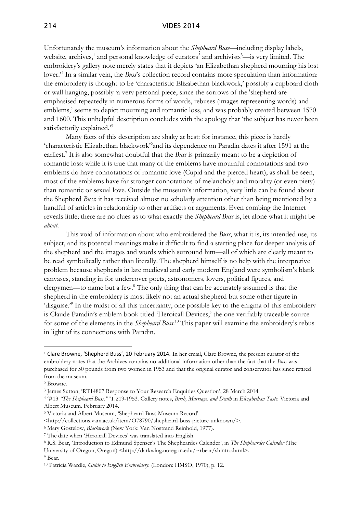#### 214 VIDES 2014

Unfortunately the museum's information about the *Shepheard Buss*—including display labels, website, archives,<sup>1</sup> and personal knowledge of curators<sup>2</sup> and archivists<sup>3</sup>—is very limited. The embroidery's gallery note merely states that it depicts 'an Elizabethan shepherd mourning his lost lover.'<sup>4</sup> In a similar vein, the *Buss*'s collection record contains more speculation than information: the embroidery is thought to be 'characteristic Elizabethan blackwork,' possibly a cupboard cloth or wall hanging, possibly 'a very personal piece, since the sorrows of the 'shepherd are emphasised repeatedly in numerous forms of words, rebuses (images representing words) and emblems,' seems to depict mourning and romantic loss, and was probably created between 1570 and 1600. This unhelpful description concludes with the apology that 'the subject has never been satisfactorily explained.<sup>5</sup>

Many facts of this description are shaky at best: for instance, this piece is hardly 'characteristic Elizabethan blackwork<sup>16</sup> and its dependence on Paradin dates it after 1591 at the earliest.<sup>7</sup> It is also somewhat doubtful that the *Buss* is primarily meant to be a depiction of romantic loss: while it is true that many of the emblems have mournful connotations and two emblems do have connotations of romantic love (Cupid and the pierced heart), as shall be seen, most of the emblems have far stronger connotations of melancholy and morality (or even piety) than romantic or sexual love. Outside the museum's information, very little can be found about the Shepherd *Buss*: it has received almost no scholarly attention other than being mentioned by a handful of articles in relationship to other artifacts or arguments. Even combing the Internet reveals little; there are no clues as to what exactly the *Shepheard Buss* is, let alone what it might be *about.*

This void of information about who embroidered the *Buss*, what it is, its intended use, its subject, and its potential meanings make it difficult to find a starting place for deeper analysis of the shepherd and the images and words which surround him—all of which are clearly meant to be read symbolically rather than literally. The shepherd himself is no help with the interpretive problem because shepherds in late medieval and early modern England were symbolism's blank canvases, standing in for undercover poets, astronomers, lovers, political figures, and clergymen—to name but a few.<sup>8</sup> The only thing that can be accurately assumed is that the shepherd in the embroidery is most likely not an actual shepherd but some other figure in 'disguise." In the midst of all this uncertainty, one possible key to the enigma of this embroidery is Claude Paradin's emblem book titled 'Heroicall Devices,' the one verifiably traceable source for some of the elements in the *Shepheard Buss*. <sup>10</sup> This paper will examine the embroidery's rebus in light of its connections with Paradin.

-

<sup>6</sup> Mary Gostelow, *Blackwork* (New York: Van Nostrand Reinhold, 1977).

<sup>1</sup> Clare Browne, 'Shepherd Buss', 20 February 2014. In her email, Clare Browne, the present curator of the embroidery notes that the Archives contains no additional information other than the fact that the *Buss* was purchased for 50 pounds from two women in 1953 and that the original curator and conservator has since retired from the museum.

<sup>2</sup> Browne.

<sup>&</sup>lt;sup>3</sup> James Sutton, 'RT14807 Response to Your Research Enquiries Question', 28 March 2014.

<sup>4</sup> '#13 *"The Shepheard Buss."'* T.219-1953. Gallery notes, *Birth, Marriage, and Death* in *Elizabethan Taste*. Victoria and Albert Museum. February 2014.

<sup>5</sup> Victoria and Albert Museum, 'Shepheard Buss Museum Record'

<sup>&</sup>lt;http://collections.vam.ac.uk/item/O78790/shepheard-buss-picture-unknown/>.

<sup>7</sup> The date when 'Heroicall Devices' was translated into English.

<sup>8</sup> R.S. Bear, 'Introduction to Edmund Spenser's The Shepheardes Calender', in *The Shepheardes Calender* (The

University of Oregon, Oregon) <http://darkwing.uoregon.edu/~rbear/shintro.html>.

<sup>9</sup> Bear.

<sup>10</sup> Patricia Wardle, *Guide to English Embroidery.* (London: HMSO, 1970), p. 12.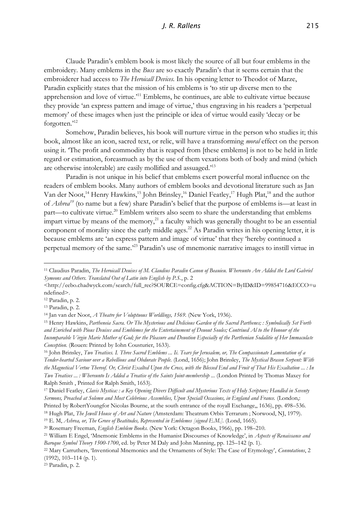## *J. R. Rallens* 215

Claude Paradin's emblem book is most likely the source of all but four emblems in the embroidery. Many emblems in the *Buss* are so exactly Paradin's that it seems certain that the embroiderer had access to *The Heroicall Devices.* In his opening letter to Theodot of Marze, Paradin explicitly states that the mission of his emblems is 'to stir up diverse men to the apprehension and love of virtue.'<sup>11</sup> Emblems, he continues, are able to cultivate virtue because they provide 'an express pattern and image of virtue,' thus engraving in his readers a 'perpetual memory' of these images when just the principle or idea of virtue would easily 'decay or be forgotten.'<sup>12</sup>

Somehow, Paradin believes, his book will nurture virtue in the person who studies it; this book, almost like an icon, sacred text, or relic, will have a transforming *moral* effect on the person using it. 'The profit and commodity that is reaped from [these emblems] is not to be held in little regard or estimation, foreasmuch as by the use of them vexations both of body and mind (which are otherwise intolerable) are easily mollified and assuaged.'<sup>13</sup>

Paradin is not unique in his belief that emblems exert powerful moral influence on the readers of emblem books. Many authors of emblem books and devotional literature such as Jan Van der Noot,<sup>14</sup> Henry Hawkins,<sup>15</sup> John Brinsley,<sup>16</sup> Daniel Featley,<sup>17</sup> Hugh Plat,<sup>18</sup> and the author of *Ashrea<sup>19</sup>* (to name but a few) share Paradin's belief that the purpose of emblems is—at least in part—to cultivate virtue.<sup>20</sup> Emblem writers also seem to share the understanding that emblems impart virtue by means of the memory,<sup>21</sup> a faculty which was generally thought to be an essential component of morality since the early middle ages.<sup>22</sup> As Paradin writes in his opening letter, it is because emblems are 'an express pattern and image of virtue' that they 'hereby continued a perpetual memory of the same.'<sup>23</sup> Paradin's use of mnemonic narrative images to instill virtue in

-

<sup>23</sup> Paradin, p. 2.

<sup>11</sup> Claudius Paradin, *The Heroicall Deuises of M. Claudius Paradin Canon of Beauieu. Whereunto Are Added the Lord Gabriel Symeons and Others. Translated Out of Latin into English by P.S.*, p. 2

<sup>&</sup>lt;http://eebo.chadwyck.com/search/full\_rec?SOURCE=config.cfg&ACTION=ByID&ID=99854716&ECCO=u ndefined>.

<sup>12</sup> Paradin, p. 2.

<sup>13</sup> Paradin, p. 2.

<sup>14</sup> Jan van der Noot, *A Theatre for Voluptuous Worldlings, 1569.* (New York, 1936).

<sup>15</sup> Henry Hawkins, *Partheneia Sacra. Or The Mysterious and Delicious Garden of the Sacred Parthenes; : Symbolically Set Forth and Enriched with Pious Deuises and Emblemes for the Entertainement of Deuout Soules; Contriued Al to the Honour of the Incomparable Virgin Marie Mother of God; for the Pleasure and Deuotion Especially of the Parthenian Sodalitie of Her Immaculate Conception.* (Rouen: Printed by Iohn Cousturier, 1633).

<sup>16</sup> John Brinsley, *Two Treatises. I. Three Sacred Emblems ... Ii. Tears for Jerusalem, or, The Compassionate Lamentation of a Tender-hearted Saviour over a Rebellious and Obdurate People.* (Lond, 1656); John Brinsley, *The Mystical Brasen Serpent: With the Magnetical Vertue Thereof. Or, Christ Exalted Upon the Cross, with the Blessed End and Fruit of That His Exaltation ... : In Two Treatises ... : Whereunto Is Added a Treatise of the Saints Joint-membership ...* (London Printed by Thomas Maxey for Ralph Smith , Printed for Ralph Smith, 1653).

<sup>17</sup> Daniel Featley, *Clavis Mystica: : a Key Opening Divers Difficult and Mysterious Texts of Holy Scripture; Handled in Seventy Sermons, Preached at Solemn and Most Celebrious Assemblies, Upon Speciall Occasions, in England and France.* (London,:

Printed by RobertYoungfor Nicolas Bourne, at the south entrance of the royall Exchange,, 1636), pp. 498–536. <sup>18</sup> Hugh Plat, *The Jewell House of Art and Nature* (Amsterdam: Theatrum Orbis Terrarum ; Norwood, NJ, 1979).

<sup>19</sup> E. M, *Ashrea, or, The Grove of Beatitudes, Represented in Emblemes [signed E.M.].* (Lond, 1665).

<sup>20</sup> Rosemary Freeman, *English Emblem Books.* (New York: Octagon Books, 1966), pp. 198–210.

<sup>21</sup> William E Engel, 'Mnemonic Emblems in the Humanist Discourses of Knowledge', in *Aspects of Renaissance and Baroque Symbol Theory 1500-1700*, ed. by Peter M Daly and John Manning, pp. 125–142 (p. 1).

<sup>22</sup> Mary Carruthers, 'Inventional Mnemonics and the Ornaments of Style: The Case of Etymology', *Connotations*, 2 (1992), 103–114 (p. 1).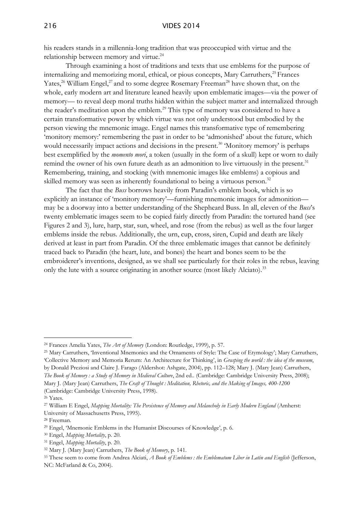his readers stands in a millennia-long tradition that was preoccupied with virtue and the relationship between memory and virtue.<sup>24</sup>

Through examining a host of traditions and texts that use emblems for the purpose of internalizing and memorizing moral, ethical, or pious concepts, Mary Carruthers,<sup>25</sup> Frances Yates,<sup>26</sup> William Engel,<sup>27</sup> and to some degree Rosemary Freeman<sup>28</sup> have shown that, on the whole, early modern art and literature leaned heavily upon emblematic images—via the power of memory— to reveal deep moral truths hidden within the subject matter and internalized through the reader's meditation upon the emblem.<sup>29</sup> This type of memory was considered to have a certain transformative power by which virtue was not only understood but embodied by the person viewing the mnemonic image. Engel names this transformative type of remembering 'monitory memory:' remembering the past in order to be 'admonished' about the future, which would necessarily impact actions and decisions in the present.<sup>30</sup> 'Monitory memory' is perhaps best exemplified by the *momento mori*, a token (usually in the form of a skull) kept or worn to daily remind the owner of his own future death as an admonition to live virtuously in the present.<sup>31</sup> Remembering, training, and stocking (with mnemonic images like emblems) a copious and skilled memory was seen as inherently foundational to being a virtuous person.<sup>32</sup>

The fact that the *Buss* borrows heavily from Paradin's emblem book, which is so explicitly an instance of 'monitory memory'—furnishing mnemonic images for admonition may be a doorway into a better understanding of the Shepheard Buss. In all, eleven of the *Buss*'s twenty emblematic images seem to be copied fairly directly from Paradin: the tortured hand (see Figures 2 and 3), lure, harp, star, sun, wheel, and rose (from the rebus) as well as the four larger emblems inside the rebus. Additionally, the urn, cup, cross, siren, Cupid and death are likely derived at least in part from Paradin. Of the three emblematic images that cannot be definitely traced back to Paradin (the heart, lute, and bones) the heart and bones seem to be the embroiderer's inventions, designed, as we shall see particularly for their roles in the rebus, leaving only the lute with a source originating in another source (most likely Alciato).<sup>33</sup>

-

<sup>30</sup> Engel, *Mapping Mortality*, p. 20.

<sup>24</sup> Frances Amelia Yates, *The Art of Memory* (London: Routledge, 1999), p. 57.

<sup>25</sup> Mary Carruthers, 'Inventional Mnemonics and the Ornaments of Style: The Case of Etymology'; Mary Carruthers, 'Collective Memory and Memoria Rerum: An Architecture for Thinking', in *Grasping the world : the idea of the museum*, by Donald Preziosi and Claire J. Farago (Aldershot: Ashgate, 2004), pp. 112–128; Mary J. (Mary Jean) Carruthers, *The Book of Memory : a Study of Memory in Medieval Culture*, 2nd ed.. (Cambridge: Cambridge University Press, 2008); Mary J. (Mary Jean) Carruthers, *The Craft of Thought : Meditation, Rhetoric, and the Making of Images, 400-1200* (Cambridge: Cambridge University Press, 1998).

<sup>26</sup> Yates.

<sup>27</sup> William E Engel, *Mapping Mortality: The Persistence of Memory and Melancholy in Early Modern England* (Amherst: University of Massachusetts Press, 1995).

<sup>28</sup> Freeman.

<sup>29</sup> Engel, 'Mnemonic Emblems in the Humanist Discourses of Knowledge', p. 6.

<sup>31</sup> Engel, *Mapping Mortality*, p. 20.

<sup>32</sup> Mary J. (Mary Jean) Carruthers, *The Book of Memory*, p. 141.

<sup>33</sup> These seem to come from Andrea Alciati, *A Book of Emblems : the Emblematum Liber in Latin and English* (Jefferson, NC: McFarland & Co, 2004).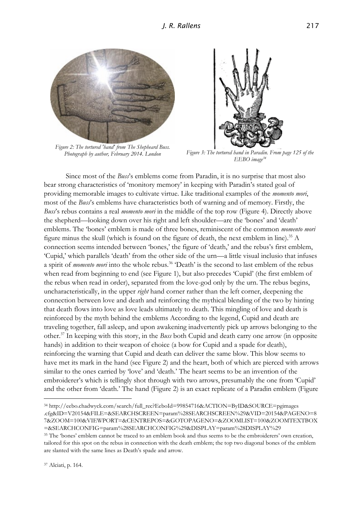

*Figure 2: The tortured 'hand' from The Shepheard Buss.*



*Photograph by author, February 2014. London Figure 3: The tortured hand in Paradin. From page 125 of the EEBO image<sup>34</sup>*

Since most of the *Buss*'s emblems come from Paradin, it is no surprise that most also bear strong characteristics of 'monitory memory' in keeping with Paradin's stated goal of providing memorable images to cultivate virtue. Like traditional examples of the *momento mori*, most of the *Buss*'s emblems have characteristics both of warning and of memory. Firstly, the *Buss*'s rebus contains a real *momento mori* in the middle of the top row (Figure 4). Directly above the shepherd—looking down over his right and left shoulder—are the 'bones' and 'death' emblems. The 'bones' emblem is made of three bones, reminiscent of the common *momento mori* figure minus the skull (which is found on the figure of death, the next emblem in line).<sup>35</sup> A connection seems intended between 'bones,' the figure of 'death,' and the rebus's first emblem, 'Cupid,' which parallels 'death' from the other side of the urn—a little visual inclusio that infuses a spirit of *momento mori* into the whole rebus.<sup>36</sup> 'Death' is the second to last emblem of the rebus when read from beginning to end (see Figure 1), but also precedes 'Cupid' (the first emblem of the rebus when read in order), separated from the love-god only by the urn. The rebus begins, uncharacteristically, in the upper *right* hand corner rather than the left corner, deepening the connection between love and death and reinforcing the mythical blending of the two by hinting that death flows into love as love leads ultimately to death. This mingling of love and death is reinforced by the myth behind the emblems According to the legend, Cupid and death are traveling together, fall asleep, and upon awakening inadvertently pick up arrows belonging to the other.<sup>37</sup> In keeping with this story, in the *Buss* both Cupid and death carry one arrow (in opposite hands) in addition to their weapon of choice (a bow for Cupid and a spade for death), reinforcing the warning that Cupid and death can deliver the same blow. This blow seems to have met its mark in the hand (see Figure 2) and the heart, both of which are pierced with arrows similar to the ones carried by 'love' and 'death.' The heart seems to be an invention of the embroiderer's which is tellingly shot through with two arrows, presumably the one from 'Cupid' and the other from 'death.' The hand (Figure 2) is an exact replicate of a Paradin emblem (Figure

<sup>34</sup> http://eebo.chadwyck.com/search/full\_rec?EeboId=99854716&ACTION=ByID&SOURCE=pgimages .cfg&ID=V20154&FILE=&SEARCHSCREEN=param%28SEARCHSCREEN%29&VID=20154&PAGENO=8 7&ZOOM=100&VIEWPORT=&CENTREPOS=&GOTOPAGENO=&ZOOMLIST=100&ZOOMTEXTBOX =&SEARCHCONFIG=param%28SEARCHCONFIG%29&DISPLAY=param%28DISPLAY%29

<sup>35</sup> The 'bones' emblem cannot be traced to an emblem book and thus seems to be the embroiderers' own creation, tailored for this spot on the rebus in connection with the death emblem; the top two diagonal bones of the emblem are slanted with the same lines as Death's spade and arrow.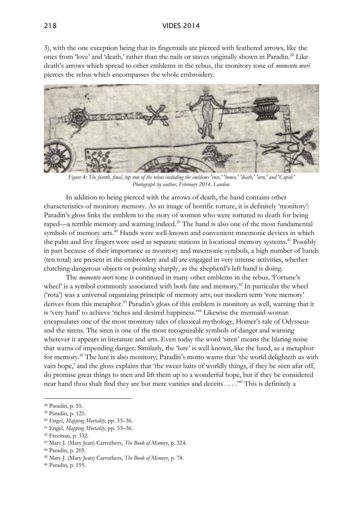#### 218 VIDES 2014

3), with the one exception being that its fingernails are pierced with feathered arrows, like the ones from 'love' and 'death,' rather than the nails or staves originally shown in Paradin.<sup>38</sup> Like death's arrows which spread to other emblems in the rebus, the monitory tone of *momento mori* pierces the rebus which encompasses the whole embroidery.



*Figure 4: The fourth, final, top row of the rebus including the emblems 'rose,' 'bones,' 'death,' 'urn,' and 'Cupid.' Photograph by author, February 2014. London.*

In addition to being pierced with the arrows of death, the hand contains other characteristics of monitory memory. As an image of horrific torture, it is definitely 'monitory': Paradin's gloss links the emblem to the story of women who were tortured to death for being raped—a terrible memory and warning indeed.<sup>39</sup> The hand is also one of the most fundamental symbols of memory arts.<sup>40</sup> Hands were well-known and convenient mnemonic devices in which the palm and five fingers were used as separate stations in locational memory systems.<sup>41</sup> Possibly in part because of their importance as monitory and mnemonic symbols, a high number of hands (ten total) are present in the embroidery and all are engaged in very intense activities, whether clutching dangerous objects or pointing sharply, as the shepherd's left hand is doing.

The *momento mori* tone is continued in many other emblems in the rebus. 'Fortune's wheel' is a symbol commonly associated with both fate and memory.<sup>42</sup> In particular the wheel ('rota') was a universal organizing principle of memory arts; our modern term 'rote memory' derives from this metaphor.<sup>43</sup> Paradin's gloss of this emblem is monitory as well, warning that it is 'very hard' to achieve 'riches and desired happiness.'<sup>44</sup> Likewise the mermaid-woman encapsulates one of the most monitory tales of classical mythology, Homer's tale of Odysseus and the sirens. The siren is one of the most recognizable symbols of danger and warning wherever it appears in literature and arts. Even today the word 'siren' means the blaring noise that warns of impending danger. Similarly, the 'lure' is well known, like the hand, as a metaphor for memory.<sup>45</sup> The lure is also monitory; Paradin's motto warns that 'the world delighteth us with vain hope,' and the gloss explains that 'the sweet baits of worldly things, if they be seen afar off, do promise great things to men and lift them up to a wonderful hope, but if they be considered near hand thou shalt find they are but mere vanities and deceits . . . .'<sup>46</sup> This is definitely a

-

- <sup>40</sup> Engel, *Mapping Mortality*, pp. 33–36.
- <sup>41</sup> Engel, *Mapping Mortality*, pp. 33–36.

<sup>43</sup> Mary J. (Mary Jean) Carruthers, *The Book of Memory*, p. 324.

<sup>38</sup> Paradin, p. 55.

<sup>39</sup> Paradin, p. 125.

<sup>42</sup> Freeman, p. 332.

<sup>44</sup> Paradin, p. 205.

<sup>45</sup> Mary J. (Mary Jean) Carruthers, *The Book of Memory*, p. 78.

<sup>46</sup> Paradin, p. 195.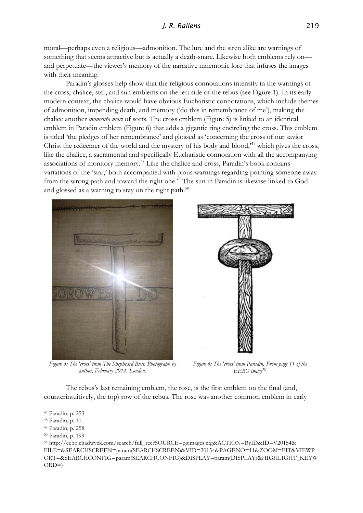moral—perhaps even a religious—admonition. The lure and the siren alike are warnings of something that seems attractive but is actually a death-snare. Likewise both emblems rely on and perpetuate—the viewer's memory of the narrative mnemonic lore that infuses the images with their meaning.

Paradin's glosses help show that the religious connotations intensify in the warnings of the cross, chalice, star, and sun emblems on the left side of the rebus (see Figure 1). In its early modern context, the chalice would have obvious Eucharistic connotations, which include themes of admonition, impending death, and memory ('do this in remembrance of me'), making the chalice another *momento mori* of sorts. The cross emblem (Figure 5) is linked to an identical emblem in Paradin emblem (Figure 6) that adds a gigantic ring encircling the cross. This emblem is titled 'the pledges of her remembrance' and glossed as 'concerning the cross of our savior Christ the redeemer of the world and the mystery of his body and blood,'<sup>47</sup> which gives the cross, like the chalice, a sacramental and specifically Eucharistic connotation with all the accompanying associations of monitory memory.<sup>48</sup> Like the chalice and cross, Paradin's book contains variations of the 'star,' both accompanied with pious warnings regarding pointing someone away from the wrong path and toward the right one.<sup>49</sup> The sun in Paradin is likewise linked to God and glossed as a warning to stay on the right path.<sup>50</sup>



*Figure 5: The 'cross' from The Shepheard Buss. Photograph by author, February 2014. London.*

*Figure 6: The 'cross' from Paradin. From page 11 of the EEBO image<sup>51</sup>*

The rebus's last remaining emblem, the rose, is the first emblem on the final (and, counterintuitively, the top) row of the rebus. The rose was another common emblem in early

<sup>47</sup> Paradin, p. 253.

<sup>48</sup> Paradin, p. 11.

<sup>49</sup> Paradin, p. 258.

<sup>50</sup> Paradin, p. 199.

<sup>51</sup> http://eebo.chadwyck.com/search/full\_rec?SOURCE=pgimages.cfg&ACTION=ByID&ID=V20154& FILE=&SEARCHSCREEN=param(SEARCHSCREEN)&VID=20154&PAGENO=11&ZOOM=FIT&VIEWP ORT=&SEARCHCONFIG=param(SEARCHCONFIG)&DISPLAY=param(DISPLAY)&HIGHLIGHT\_KEYW  $ORD=$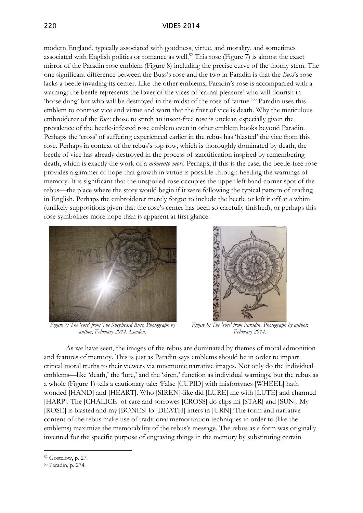modern England, typically associated with goodness, virtue, and morality, and sometimes associated with English politics or romance as well.<sup>52</sup> This rose (Figure 7) is almost the exact mirror of the Paradin rose emblem (Figure 8) including the precise curve of the thorny stem. The one significant difference between the Buss's rose and the two in Paradin is that the *Buss*'s rose lacks a beetle invading its center. Like the other emblems, Paradin's rose is accompanied with a warning; the beetle represents the lover of the vices of 'carnal pleasure' who will flourish in 'horse dung' but who will be destroyed in the midst of the rose of 'virtue.'<sup>53</sup> Paradin uses this emblem to contrast vice and virtue and warn that the fruit of vice is death. Why the meticulous embroiderer of the *Buss* chose to stitch an insect-free rose is unclear, especially given the prevalence of the beetle-infested rose emblem even in other emblem books beyond Paradin. Perhaps the 'cross' of suffering experienced earlier in the rebus has 'blasted' the vice from this rose. Perhaps in context of the rebus's top row, which is thoroughly dominated by death, the beetle of vice has already destroyed in the process of sanctification inspired by remembering death, which is exactly the work of a *momento mori*. Perhaps, if this is the case, the beetle-free rose provides a glimmer of hope that growth in virtue is possible through heeding the warnings of memory. It is significant that the unspoiled rose occupies the upper left hand corner spot of the rebus—the place where the story would begin if it were following the typical pattern of reading in English. Perhaps the embroiderer merely forgot to include the beetle or left it off at a whim (unlikely suppositions given that the rose's center has been so carefully finished), or perhaps this rose symbolizes more hope than is apparent at first glance.



*Figure 7: The 'rose' from The Shepheard Buss. Photograph by author, February 2014. London.*



*Figure 8: The 'rose' from Paradin. Photograph by author. February 2014.*

As we have seen, the images of the rebus are dominated by themes of moral admonition and features of memory. This is just as Paradin says emblems should be in order to impart critical moral truths to their viewers via mnemonic narrative images. Not only do the individual emblems—like 'death,' the 'lure,' and the 'siren,' function as individual warnings, but the rebus as a whole (Figure 1) tells a cautionary tale: 'False [CUPID] with misfortvnes [WHEEL] hath wonded [HAND] and [HEART]. Who [SIREN]-like did [LURE] me with [LUTE] and charmed [HARP]. The [CHALICE] of care and sorrowes [CROSS] do clips mi [STAR] and [SUN]. My [ROSE] is blasted and my [BONES] lo [DEATH] inters in [URN].'The form and narrative content of the rebus make use of traditional memorization techniques in order to (like the emblems) maximize the memorability of the rebus's message. The rebus as a form was originally invented for the specific purpose of engraving things in the memory by substituting certain

<sup>52</sup> Gostelow, p. 27.

<sup>53</sup> Paradin, p. 274.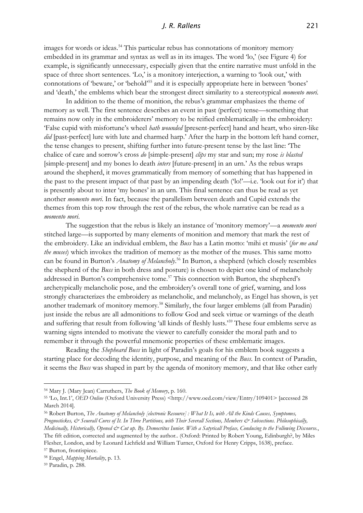### *J. R. Rallens* 221

images for words or ideas.<sup>54</sup> This particular rebus has connotations of monitory memory embedded in its grammar and syntax as well as in its images. The word 'lo,' (see Figure 4) for example, is significantly unnecessary, especially given that the entire narrative must unfold in the space of three short sentences. 'Lo,' is a monitory interjection, a warning to 'look out,' with connotations of 'beware,' or 'behold'<sup>55</sup> and it is especially appropriate here in between 'bones' and 'death,' the emblems which bear the strongest direct similarity to a stereotypical *momento mori.*

In addition to the theme of monition, the rebus's grammar emphasizes the theme of memory as well. The first sentence describes an event in past (perfect) tense—something that remains now only in the embroiderers' memory to be reified emblematically in the embroidery: 'False cupid with misfortune's wheel *hath wounded* [present-perfect] hand and heart, who siren-like *did* [past-perfect] lure with lute and charmed harp.' After the harp in the bottom left hand corner, the tense changes to present, shifting further into future-present tense by the last line: 'The chalice of care and sorrow's cross *do* [simple-present] *clips* my star and sun; my rose *is blasted*  [simple-present] and my bones lo death *inters* [future-present] in an urn.' As the rebus wraps around the shepherd, it moves grammatically from memory of something that has happened in the past to the present impact of that past by an impending death ('lo!'—i.e. 'look out for it') that is presently about to inter 'my bones' in an urn. This final sentence can thus be read as yet another *momento mori*. In fact, because the parallelism between death and Cupid extends the themes from this top row through the rest of the rebus, the whole narrative can be read as a *momento mori*.

The suggestion that the rebus is likely an instance of 'monitory memory'—a *momento mori* stitched large—is supported by many elements of monition and memory that mark the rest of the embroidery. Like an individual emblem, the *Buss* has a Latin motto: 'mihi et musis' (*for me and the muses*) which invokes the tradition of memory as the mother of the muses. This same motto can be found in Burton's *Anatomy of Melancholy*. <sup>56</sup> In Burton, a shepherd (which closely resembles the shepherd of the *Buss* in both dress and posture) is chosen to depict one kind of melancholy addressed in Burton's comprehensive tome.<sup>57</sup> This connection with Burton, the shepherd's archetypically melancholic pose, and the embroidery's overall tone of grief, warning, and loss strongly characterizes the embroidery as melancholic, and melancholy, as Engel has shown, is yet another trademark of monitory memory.<sup>58</sup> Similarly, the four larger emblems (all from Paradin) just inside the rebus are all admonitions to follow God and seek virtue or warnings of the death and suffering that result from following 'all kinds of fleshly lusts.'<sup>59</sup> These four emblems serve as warning signs intended to motivate the viewer to carefully consider the moral path and to remember it through the powerful mnemonic properties of these emblematic images.

Reading the *Shepheard Buss* in light of Paradin's goals for his emblem book suggests a starting place for decoding the identity, purpose, and meaning of the *Buss*. In context of Paradin, it seems the *Buss* was shaped in part by the agenda of monitory memory, and that like other early

<sup>54</sup> Mary J. (Mary Jean) Carruthers, *The Book of Memory*, p. 160.

<sup>55</sup> 'Lo, Int.1', *OED Online* (Oxford University Press) <http://www.oed.com/view/Entry/109401> [accessed 28 March 2014].

<sup>56</sup> Robert Burton, *The Anatomy of Melancholy [electronic Resource] : What It Is, with All the Kinds Causes, Symptomes, Prognostickes, & Seuerall Cures of It. In Three Partitions, with Their Severall Sections, Members & Subsections. Philosophically, Medicinally, Historically, Opened & Cut up. By. Democritus Iunior. With a Satyricall Preface, Conducing to the Following Discourse.*, The fift edition, corrected and augmented by the author.. (Oxford: Printed by Robert Young, Edinburgh?, by Miles Flesher, London, and by Leonard Lichfield and William Turner, Oxford for Henry Cripps, 1638), preface. <sup>57</sup> Burton, frontispiece.

<sup>58</sup> Engel, *Mapping Mortality*, p. 13.

<sup>59</sup> Paradin, p. 288.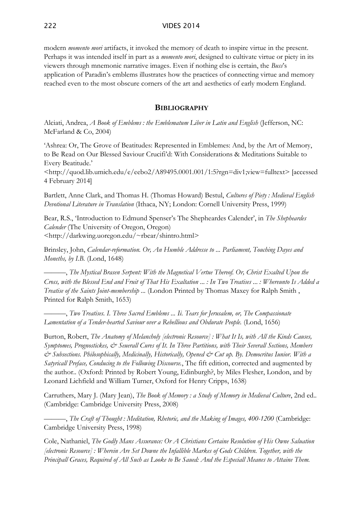modern *momento mori* artifacts, it invoked the memory of death to inspire virtue in the present. Perhaps it was intended itself in part as a *momento mori*, designed to cultivate virtue or piety in its viewers through mnemonic narrative images. Even if nothing else is certain, the *Buss*'s application of Paradin's emblems illustrates how the practices of connecting virtue and memory reached even to the most obscure corners of the art and aesthetics of early modern England.

## **BIBLIOGRAPHY**

Alciati, Andrea, *A Book of Emblems : the Emblematum Liber in Latin and English* (Jefferson, NC: McFarland & Co, 2004)

'Ashrea: Or, The Grove of Beatitudes: Represented in Emblemes: And, by the Art of Memory, to Be Read on Our Blessed Saviour Crucifi'd: With Considerations & Meditations Suitable to Every Beatitude.'

<http://quod.lib.umich.edu/e/eebo2/A89495.0001.001/1:5?rgn=div1;view=fulltext> [accessed 4 February 2014]

Bartlett, Anne Clark, and Thomas H. (Thomas Howard) Bestul, *Cultures of Piety : Medieval English Devotional Literature in Translation* (Ithaca, NY; London: Cornell University Press, 1999)

Bear, R.S., 'Introduction to Edmund Spenser's The Shepheardes Calender', in *The Shepheardes Calender* (The University of Oregon, Oregon) <http://darkwing.uoregon.edu/~rbear/shintro.html>

Brinsley, John, *Calendar-reformation. Or, An Humble Addresse to ... Parliament, Touching Dayes and Moneths, by I.B.* (Lond, 1648)

———, *The Mystical Brasen Serpent: With the Magnetical Vertue Thereof. Or, Christ Exalted Upon the Cross, with the Blessed End and Fruit of That His Exaltation ... : In Two Treatises ... : Whereunto Is Added a Treatise of the Saints Joint-membership ...* (London Printed by Thomas Maxey for Ralph Smith , Printed for Ralph Smith, 1653)

———, *Two Treatises. I. Three Sacred Emblems ... Ii. Tears for Jerusalem, or, The Compassionate Lamentation of a Tender-hearted Saviour over a Rebellious and Obdurate People.* (Lond, 1656)

Burton, Robert, *The Anatomy of Melancholy [electronic Resource] : What It Is, with All the Kinds Causes, Symptomes, Prognostickes, & Seuerall Cures of It. In Three Partitions, with Their Severall Sections, Members & Subsections. Philosophically, Medicinally, Historically, Opened & Cut up. By. Democritus Iunior. With a Satyricall Preface, Conducing to the Following Discourse.*, The fift edition, corrected and augmented by the author.. (Oxford: Printed by Robert Young, Edinburgh?, by Miles Flesher, London, and by Leonard Lichfield and William Turner, Oxford for Henry Cripps, 1638)

Carruthers, Mary J. (Mary Jean), *The Book of Memory : a Study of Memory in Medieval Culture*, 2nd ed.. (Cambridge: Cambridge University Press, 2008)

———, *The Craft of Thought : Meditation, Rhetoric, and the Making of Images, 400-1200* (Cambridge: Cambridge University Press, 1998)

Cole, Nathaniel, *The Godly Mans Assurance: Or A Christians Certaine Resolution of His Owne Saluation [electronic Resource] : Wherein Are Set Downe the Infallible Markes of Gods Children. Together, with the Principall Graces, Required of All Such as Looke to Be Saued: And the Especiall Meanes to Attaine Them.*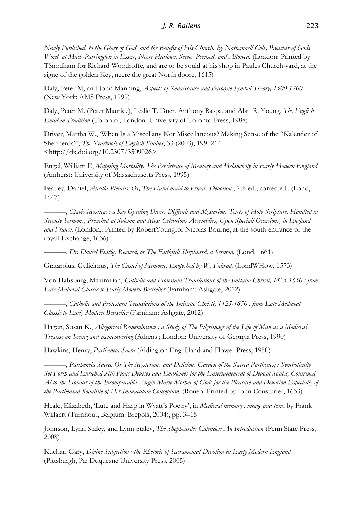## *J. R. Rallens* 223

*Newly Published, to the Glory of God, and the Benefit of His Church. By Nathanaell Cole, Preacher of Gods Word, at Much-Parringdon in Essex, Neere Harlowe. Seene, Perused, and Allowed.* (London: Printed by TSnodham for Richard Woodroffe, and are to be sould at his shop in Paules Church-yard, at the signe of the golden Key, neere the great North doore, 1615)

Daly, Peter M, and John Manning, *Aspects of Renaissance and Baroque Symbol Theory, 1500-1700* (New York: AMS Press, 1999)

Daly, Peter M. (Peter Maurice), Leslie T. Duer, Anthony Raspa, and Alan R. Young, *The English Emblem Tradition* (Toronto ; London: University of Toronto Press, 1988)

Driver, Martha W., 'When Is a Miscellany Not Miscellaneous? Making Sense of the "Kalender of Shepherds"', *The Yearbook of English Studies*, 33 (2003), 199–214 <http://dx.doi.org/10.2307/3509026>

Engel, William E, *Mapping Mortality: The Persistence of Memory and Melancholy in Early Modern England* (Amherst: University of Massachusetts Press, 1995)

Featley, Daniel, *Ancilla Pietatis: Or, The Hand-maid to Private Deuotion.*, 7th ed., corrected.. (Lond, 1647)

———, *Clavis Mystica: : a Key Opening Divers Difficult and Mysterious Texts of Holy Scripture; Handled in Seventy Sermons, Preached at Solemn and Most Celebrious Assemblies, Upon Speciall Occasions, in England and France.* (London,: Printed by RobertYoungfor Nicolas Bourne, at the south entrance of the royall Exchange, 1636)

———, *Dr. Daniel Featley Revived, or The Faithfull Shepheard, a Sermon.* (Lond, 1661)

Gratarolus, Gulielmus, *The Castel of Memorie, Englyshed by W. Fulwod.* (LondWHow, 1573)

Von Habsburg, Maximilian, *Catholic and Protestant Translations of the Imitatio Christi, 1425-1650 : from Late Medieval Classic to Early Modern Bestseller* (Farnham: Ashgate, 2012)

———, *Catholic and Protestant Translations of the Imitatio Christi, 1425-1650 : from Late Medieval Classic to Early Modern Bestseller* (Farnham: Ashgate, 2012)

Hagen, Susan K., *Allegorical Remembrance : a Study of The Pilgrimage of the Life of Man as a Medieval Treatise on Seeing and Remembering* (Athens ; London: University of Georgia Press, 1990)

Hawkins, Henry, *Partheneia Sacra* (Aldington Eng: Hand and Flower Press, 1950)

———, *Partheneia Sacra. Or The Mysterious and Delicious Garden of the Sacred Parthenes; : Symbolically Set Forth and Enriched with Pious Deuises and Emblemes for the Entertainement of Deuout Soules; Contriued Al to the Honour of the Incomparable Virgin Marie Mother of God; for the Pleasure and Deuotion Especially of the Parthenian Sodalitie of Her Immaculate Conception.* (Rouen: Printed by Iohn Cousturier, 1633)

Heale, Elizabeth, 'Lute and Harp in Wyatt's Poetry', in *Medieval memory : image and text*, by Frank Willaert (Turnhout, Belgium: Brepols, 2004), pp. 3–15

Johnson, Lynn Staley, and Lynn Staley, *The Shepheardes Calender: An Introduction* (Penn State Press, 2008)

Kuchar, Gary, *Divine Subjection : the Rhetoric of Sacramental Devotion in Early Modern England* (Pittsburgh, Pa: Duquesne University Press, 2005)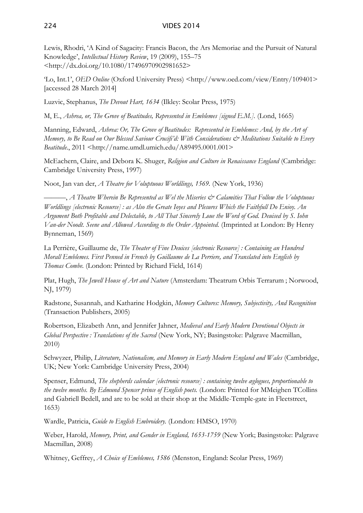Lewis, Rhodri, 'A Kind of Sagacity: Francis Bacon, the Ars Memoriae and the Pursuit of Natural Knowledge', *Intellectual History Review*, 19 (2009), 155–75 <http://dx.doi.org/10.1080/17496970902981652>

'Lo, Int.1', *OED Online* (Oxford University Press) <http://www.oed.com/view/Entry/109401> [accessed 28 March 2014]

Luzvic, Stephanus, *The Devout Hart, 1634* (Ilkley: Scolar Press, 1975)

M, E., *Ashrea, or, The Grove of Beatitudes, Represented in Emblemes [signed E.M.].* (Lond, 1665)

Manning, Edward, *Ashrea: Or, The Grove of Beatitudes: Represented in Emblemes: And, by the Art of Memory, to Be Read on Our Blessed Saviour Crucifi'd: With Considerations & Meditations Suitable to Every Beatitude.*, 2011 <http://name.umdl.umich.edu/A89495.0001.001>

McEachern, Claire, and Debora K. Shuger, *Religion and Culture in Renaissance England* (Cambridge: Cambridge University Press, 1997)

Noot, Jan van der, *A Theatre for Voluptuous Worldlings, 1569.* (New York, 1936)

———, *A Theatre Wherein Be Represented as Wel the Miseries & Calamities That Follow the Voluptuous Worldlings [electronic Resource] : as Also the Greate Ioyes and Plesures Which the Faithfull Do Enioy. An Argument Both Profitable and Delectable, to All That Sincerely Loue the Word of God. Deuised by S. Iohn Van-der Noodt. Seene and Allowed According to the Order Appointed.* (Imprinted at London: By Henry Bynneman, 1569)

La Perrière, Guillaume de, *The Theater of Fine Deuices [electronic Resource] : Containing an Hundred Morall Emblemes. First Penned in French by Guillaume de La Perriere, and Translated into English by Thomas Combe.* (London: Printed by Richard Field, 1614)

Plat, Hugh, *The Jewell House of Art and Nature* (Amsterdam: Theatrum Orbis Terrarum ; Norwood, NJ, 1979)

Radstone, Susannah, and Katharine Hodgkin, *Memory Cultures: Memory, Subjectivity, And Recognition* (Transaction Publishers, 2005)

Robertson, Elizabeth Ann, and Jennifer Jahner, *Medieval and Early Modern Devotional Objects in Global Perspective : Translations of the Sacred* (New York, NY; Basingstoke: Palgrave Macmillan, 2010)

Schwyzer, Philip, *Literature, Nationalism, and Memory in Early Modern England and Wales* (Cambridge, UK; New York: Cambridge University Press, 2004)

Spenser, Edmund, *The shepherds calendar [electronic resource] : containing twelve æglogues, proportionable to the twelve months. By Edmund Spencer prince of English poets.* (London: Printed for MMeighen TCollins and Gabriell Bedell, and are to be sold at their shop at the Middle-Temple-gate in Fleetstreet, 1653)

Wardle, Patricia, *Guide to English Embroidery.* (London: HMSO, 1970)

Weber, Harold, *Memory, Print, and Gender in England, 1653-1759* (New York; Basingstoke: Palgrave Macmillan, 2008)

Whitney, Geffrey, *A Choice of Emblemes, 1586* (Menston, England: Scolar Press, 1969)